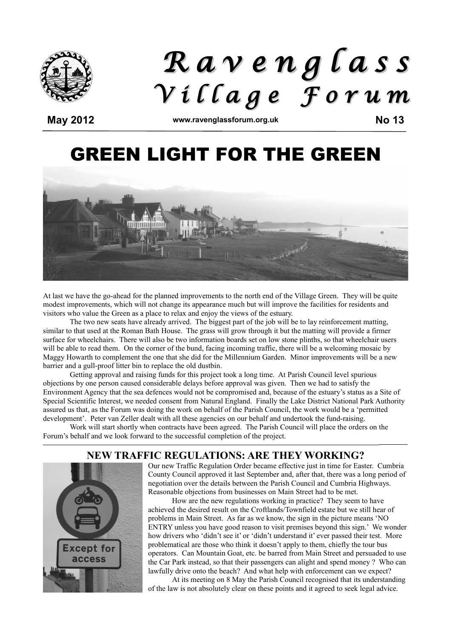

# *R a v e n g l a s s V i l l a g e F o r u m*

**May 2012 www.ravenglassforum.org.uk No 13**

## GREEN LIGHT FOR THE GREEN



At last we have the go-ahead for the planned improvements to the north end of the Village Green. They will be quite modest improvements, which will not change its appearance much but will improve the facilities for residents and visitors who value the Green as a place to relax and enjoy the views of the estuary.

The two new seats have already arrived. The biggest part of the job will be to lay reinforcement matting, similar to that used at the Roman Bath House. The grass will grow through it but the matting will provide a firmer surface for wheelchairs. There will also be two information boards set on low stone plinths, so that wheelchair users will be able to read them. On the corner of the bund, facing incoming traffic, there will be a welcoming mosaic by Maggy Howarth to complement the one that she did for the Millennium Garden. Minor improvements will be a new barrier and a gull-proof litter bin to replace the old dustbin.

Getting approval and raising funds for this project took a long time. At Parish Council level spurious objections by one person caused considerable delays before approval was given. Then we had to satisfy the Environment Agency that the sea defences would not be compromised and, because of the estuary's status as a Site of Special Scientific Interest, we needed consent from Natural England. Finally the Lake District National Park Authority assured us that, as the Forum was doing the work on behalf of the Parish Council, the work would be a 'permitted development'. Peter van Zeller dealt with all these agencies on our behalf and undertook the fund-raising.

Work will start shortly when contracts have been agreed. The Parish Council will place the orders on the Forum's behalf and we look forward to the successful completion of the project.

#### **NEW TRAFFIC REGULATIONS: ARE THEY WORKING?**



Our new Traffic Regulation Order became effective just in time for Easter. Cumbria County Council approved it last September and, after that, there was a long period of negotiation over the details between the Parish Council and Cumbria Highways. Reasonable objections from businesses on Main Street had to be met.

How are the new regulations working in practice? They seem to have achieved the desired result on the Croftlands/Townfield estate but we still hear of problems in Main Street. As far as we know, the sign in the picture means 'NO ENTRY unless you have good reason to visit premises beyond this sign.' We wonder how drivers who 'didn't see it' or 'didn't understand it' ever passed their test. More problematical are those who think it doesn't apply to them, chiefly the tour bus operators. Can Mountain Goat, etc. be barred from Main Street and persuaded to use the Car Park instead, so that their passengers can alight and spend money ? Who can lawfully drive onto the beach? And what help with enforcement can we expect?

At its meeting on 8 May the Parish Council recognised that its understanding of the law is not absolutely clear on these points and it agreed to seek legal advice.